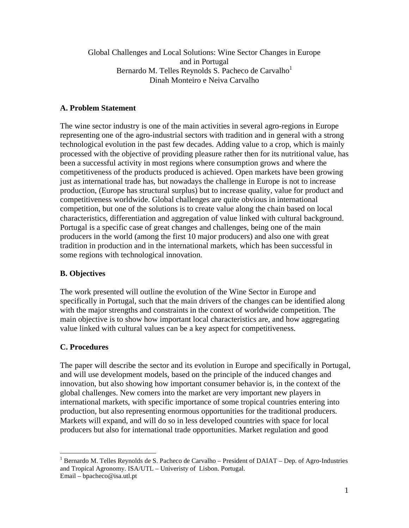Global Challenges and Local Solutions: Wine Sector Changes in Europe and in Portugal Bernardo M. Telles Reynolds S. Pacheco de Carvalho<sup>1</sup> Dinah Monteiro e Neiva Carvalho

# **A. Problem Statement**

The wine sector industry is one of the main activities in several agro-regions in Europe representing one of the agro-industrial sectors with tradition and in general with a strong technological evolution in the past few decades. Adding value to a crop, which is mainly processed with the objective of providing pleasure rather then for its nutritional value, has been a successful activity in most regions where consumption grows and where the competitiveness of the products produced is achieved. Open markets have been growing just as international trade has, but nowadays the challenge in Europe is not to increase production, (Europe has structural surplus) but to increase quality, value for product and competitiveness worldwide. Global challenges are quite obvious in international competition, but one of the solutions is to create value along the chain based on local characteristics, differentiation and aggregation of value linked with cultural background. Portugal is a specific case of great changes and challenges, being one of the main producers in the world (among the first 10 major producers) and also one with great tradition in production and in the international markets, which has been successful in some regions with technological innovation.

# **B. Objectives**

The work presented will outline the evolution of the Wine Sector in Europe and specifically in Portugal, such that the main drivers of the changes can be identified along with the major strengths and constraints in the context of worldwide competition. The main objective is to show how important local characteristics are, and how aggregating value linked with cultural values can be a key aspect for competitiveness.

## **C. Procedures**

<u>.</u>

The paper will describe the sector and its evolution in Europe and specifically in Portugal, and will use development models, based on the principle of the induced changes and innovation, but also showing how important consumer behavior is, in the context of the global challenges. New comers into the market are very important new players in international markets, with specific importance of some tropical countries entering into production, but also representing enormous opportunities for the traditional producers. Markets will expand, and will do so in less developed countries with space for local producers but also for international trade opportunities. Market regulation and good

<sup>&</sup>lt;sup>1</sup> Bernardo M. Telles Reynolds de S. Pacheco de Carvalho – President of DAIAT – Dep. of Agro-Industries and Tropical Agronomy. ISA/UTL – Univeristy of Lisbon. Portugal. Email – bpacheco@isa.utl.pt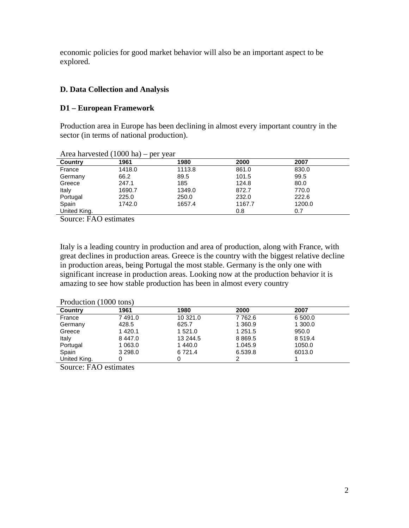economic policies for good market behavior will also be an important aspect to be explored.

# **D. Data Collection and Analysis**

## **D1 – European Framework**

Production area in Europe has been declining in almost every important country in the sector (in terms of national production).

| $1.11$ cu $1.01$ , $0.000$ $\alpha$ , | 100011 | 1.011  |        |        |  |
|---------------------------------------|--------|--------|--------|--------|--|
| Country                               | 1961   | 1980   | 2000   | 2007   |  |
| France                                | 1418.0 | 1113.8 | 861.0  | 830.0  |  |
| Germany                               | 66.2   | 89.5   | 101.5  | 99.5   |  |
| Greece                                | 247.1  | 185    | 124.8  | 80.0   |  |
| Italy                                 | 1690.7 | 1349.0 | 872.7  | 770.0  |  |
| Portugal                              | 225.0  | 250.0  | 232.0  | 222.6  |  |
| Spain                                 | 1742.0 | 1657.4 | 1167.7 | 1200.0 |  |
| United King.                          |        |        | 0.8    | 0.7    |  |

Area harvested (1000 ha) – per year

Source: FAO estimates

Italy is a leading country in production and area of production, along with France, with great declines in production areas. Greece is the country with the biggest relative decline in production areas, being Portugal the most stable. Germany is the only one with significant increase in production areas. Looking now at the production behavior it is amazing to see how stable production has been in almost every country

| Country      | 1961        | 1980       | 2000      | 2007        |
|--------------|-------------|------------|-----------|-------------|
| France       | 7491.0      | 10 321.0   | 7 7 6 2.6 | 6 500.0     |
| Germany      | 428.5       | 625.7      | 1 360.9   | 1 300.0     |
| Greece       | 1 4 2 0 . 1 | 1 5 2 1 .0 | 1 251.5   | 950.0       |
| Italy        | 8 4 4 7 .0  | 13 244.5   | 8869.5    | 8 5 1 9 . 4 |
| Portugal     | 1 0 6 3 .0  | 1440.0     | 1.045.9   | 1050.0      |
| Spain        | 3 2 9 8 .0  | 6721.4     | 6.539.8   | 6013.0      |
| United King. | 0           | 0          | 2         |             |

Source: FAO estimates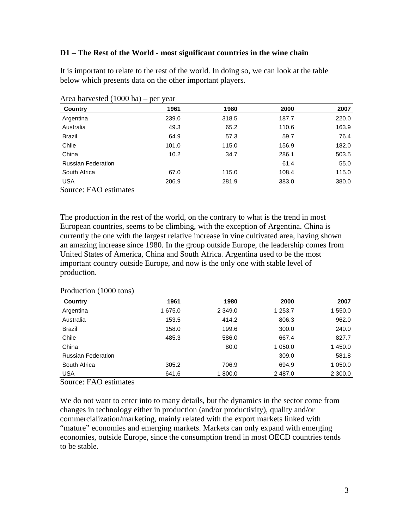### **D1 – The Rest of the World - most significant countries in the wine chain**

It is important to relate to the rest of the world. In doing so, we can look at the table below which presents data on the other important players.

| $1.104$ $1.000$ $1.000$ $1.00$ | $P0$ , $V0$ |       |       |       |
|--------------------------------|-------------|-------|-------|-------|
| Country                        | 1961        | 1980  | 2000  | 2007  |
| Argentina                      | 239.0       | 318.5 | 187.7 | 220.0 |
| Australia                      | 49.3        | 65.2  | 110.6 | 163.9 |
| <b>Brazil</b>                  | 64.9        | 57.3  | 59.7  | 76.4  |
| Chile                          | 101.0       | 115.0 | 156.9 | 182.0 |
| China                          | 10.2        | 34.7  | 286.1 | 503.5 |
| <b>Russian Federation</b>      |             |       | 61.4  | 55.0  |
| South Africa                   | 67.0        | 115.0 | 108.4 | 115.0 |
| <b>USA</b>                     | 206.9       | 281.9 | 383.0 | 380.0 |

Area harvested (1000 ha) – per year

Source: FAO estimates

The production in the rest of the world, on the contrary to what is the trend in most European countries, seems to be climbing, with the exception of Argentina. China is currently the one with the largest relative increase in vine cultivated area, having shown an amazing increase since 1980. In the group outside Europe, the leadership comes from United States of America, China and South Africa. Argentina used to be the most important country outside Europe, and now is the only one with stable level of production.

| Country                   | 1961    | 1980       | 2000    | 2007    |
|---------------------------|---------|------------|---------|---------|
| Argentina                 | 1 675.0 | 2 3 4 9 .0 | 1 253.7 | 1 550.0 |
| Australia                 | 153.5   | 414.2      | 806.3   | 962.0   |
| <b>Brazil</b>             | 158.0   | 199.6      | 300.0   | 240.0   |
| Chile                     | 485.3   | 586.0      | 667.4   | 827.7   |
| China                     |         | 80.0       | 1 050.0 | 1 450.0 |
| <b>Russian Federation</b> |         |            | 309.0   | 581.8   |
| South Africa              | 305.2   | 706.9      | 694.9   | 1 050.0 |
| <b>USA</b>                | 641.6   | 1 800.0    | 2487.0  | 2 300.0 |

#### Production (1000 tons)

Source: FAO estimates

We do not want to enter into to many details, but the dynamics in the sector come from changes in technology either in production (and/or productivity), quality and/or commercialization/marketing, mainly related with the export markets linked with "mature" economies and emerging markets. Markets can only expand with emerging economies, outside Europe, since the consumption trend in most OECD countries tends to be stable.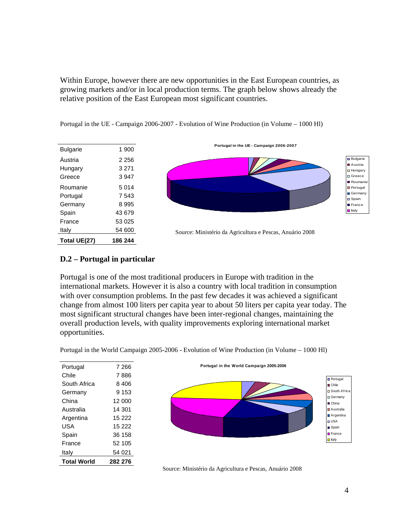Within Europe, however there are new opportunities in the East European countries, as growing markets and/or in local production terms. The graph below shows already the relative position of the East European most significant countries.

| Total UE(27)    | 186 244 |
|-----------------|---------|
| Italv           | 54 600  |
| France          | 53 025  |
| Spain           | 43 679  |
| Germany         | 8 9 9 5 |
| Portugal        | 7 543   |
| Roumanie        | 5 0 1 4 |
| Greece          | 3 9 4 7 |
| Hungary         | 3 271   |
| Áustria         | 2 256   |
| <b>Bulgarie</b> | 1 900   |

Portugal in the UE - Campaign 2006-2007 - Evolution of Wine Production (in Volume – 1000 Hl)



Source: Ministério da Agricultura e Pescas, Anuário 2008

## **D.2 – Portugal in particular**

Portugal is one of the most traditional producers in Europe with tradition in the international markets. However it is also a country with local tradition in consumption with over consumption problems. In the past few decades it was achieved a significant change from almost 100 liters per capita year to about 50 liters per capita year today. The most significant structural changes have been inter-regional changes, maintaining the overall production levels, with quality improvements exploring international market opportunities.

| Portugal           | 7 266   |
|--------------------|---------|
| Chile              | 7886    |
| South Africa       | 8 406   |
| Germany            | 9 153   |
| China              | 12 000  |
| Australia          | 14 301  |
| Argentina          | 15 222  |
| USA                | 15 222  |
| Spain              | 36 158  |
| France             | 52 105  |
| Italy              | 54 021  |
| <b>Total World</b> | 282 276 |

Portugal in the World Campaign 2005-2006 - Evolution of Wine Production (in Volume – 1000 Hl)



Source: Ministério da Agricultura e Pescas, Anuário 2008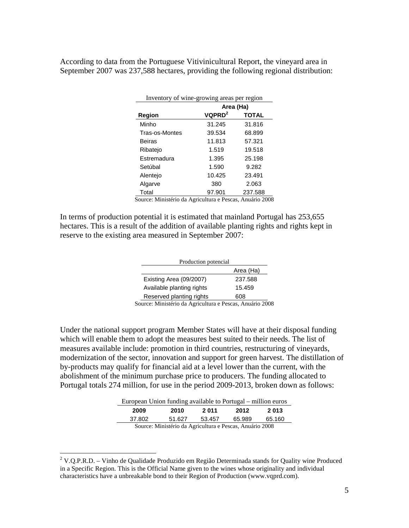According to data from the Portuguese Vitivinicultural Report, the vineyard area in September 2007 was 237,588 hectares, providing the following regional distribution:

| Inventory of wine-growing areas per region |                                |              |  |  |  |  |  |
|--------------------------------------------|--------------------------------|--------------|--|--|--|--|--|
|                                            | Area (Ha)                      |              |  |  |  |  |  |
| Region                                     | VQPRD <sup>2</sup>             | <b>TOTAL</b> |  |  |  |  |  |
| Minho                                      | 31.245                         | 31.816       |  |  |  |  |  |
| Tras-os-Montes                             | 39.534                         | 68.899       |  |  |  |  |  |
| Beiras                                     | 11.813                         | 57.321       |  |  |  |  |  |
| Ribatejo                                   | 1.519                          | 19.518       |  |  |  |  |  |
| Estremadura                                | 1.395                          | 25.198       |  |  |  |  |  |
| Setúbal                                    | 1.590                          | 9.282        |  |  |  |  |  |
| Alentejo                                   | 10.425                         | 23.491       |  |  |  |  |  |
| Algarve                                    | 380                            | 2.063        |  |  |  |  |  |
| Total                                      | 97.901<br>$\ddot{\phantom{0}}$ | 237.588      |  |  |  |  |  |

Source: Ministério da Agricultura e Pescas, Anuário 2008

In terms of production potential it is estimated that mainland Portugal has 253,655 hectares. This is a result of the addition of available planting rights and rights kept in reserve to the existing area measured in September 2007:

| Production potencial                                                                                                                                                                                                                                                                                                           |         |  |  |  |  |  |
|--------------------------------------------------------------------------------------------------------------------------------------------------------------------------------------------------------------------------------------------------------------------------------------------------------------------------------|---------|--|--|--|--|--|
| Area (Ha)                                                                                                                                                                                                                                                                                                                      |         |  |  |  |  |  |
| Existing Area (09/2007)                                                                                                                                                                                                                                                                                                        | 237.588 |  |  |  |  |  |
| Available planting rights                                                                                                                                                                                                                                                                                                      | 15.459  |  |  |  |  |  |
| Reserved planting rights                                                                                                                                                                                                                                                                                                       | 608     |  |  |  |  |  |
| $\mathbf{M}^*$ $\mathbf{M}^*$ $\mathbf{M}^*$ $\mathbf{M}^*$ $\mathbf{M}$ $\mathbf{M}$ $\mathbf{M}$ $\mathbf{M}$ $\mathbf{M}$ $\mathbf{M}$ $\mathbf{M}$ $\mathbf{M}$ $\mathbf{M}$ $\mathbf{M}$ $\mathbf{M}$ $\mathbf{M}$ $\mathbf{M}$ $\mathbf{M}$ $\mathbf{M}$ $\mathbf{M}$ $\mathbf{M}$ $\mathbf{M}$ $\mathbf{M}$ $\mathbf{M$ |         |  |  |  |  |  |

Source: Ministério da Agricultura e Pescas, Anuário 2008

Under the national support program Member States will have at their disposal funding which will enable them to adopt the measures best suited to their needs. The list of measures available include: promotion in third countries, restructuring of vineyards, modernization of the sector, innovation and support for green harvest. The distillation of by-products may qualify for financial aid at a level lower than the current, with the abolishment of the minimum purchase price to producers. The funding allocated to Portugal totals 274 million, for use in the period 2009-2013, broken down as follows:

| European Union funding available to Portugal – million euros |        |        |        |        |  |  |  |
|--------------------------------------------------------------|--------|--------|--------|--------|--|--|--|
| 2 011<br>2013<br>2012<br>2009<br>2010                        |        |        |        |        |  |  |  |
| 37.802                                                       | 51.627 | 53.457 | 65.989 | 65.160 |  |  |  |
| Source: Ministério da Agricultura e Pescas, Anuário 2008     |        |        |        |        |  |  |  |

<sup>&</sup>lt;u>.</u> <sup>2</sup> V.Q.P.R.D. – Vinho de Qualidade Produzido em Região Determinada stands for Quality wine Produced in a Specific Region. This is the Official Name given to the wines whose originality and individual characteristics have a unbreakable bond to their Region of Production (www.vqprd.com).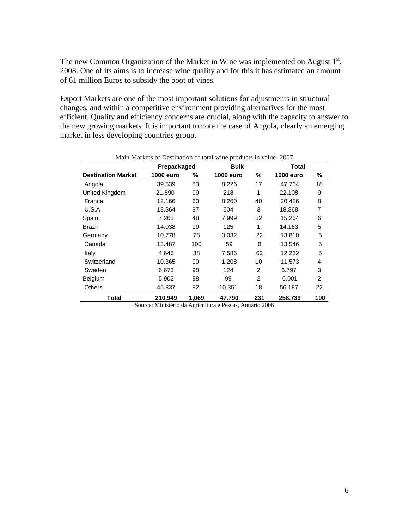The new Common Organization of the Market in Wine was implemented on August  $1<sup>st</sup>$ , 2008. One of its aims is to increase wine quality and for this it has estimated an amount of 61 million Euros to subsidy the boot of vines.

Export Markets are one of the most important solutions for adjustments in structural changes, and within a competitive environment providing alternatives for the most efficient. Quality and efficiency concerns are crucial, along with the capacity to answer to the new growing markets. It is important to note the case of Angola, clearly an emerging market in less developing countries group.

| Main Markets of Destination of total wine products in value-2007 |             |       |           |                |                  |                |  |  |  |
|------------------------------------------------------------------|-------------|-------|-----------|----------------|------------------|----------------|--|--|--|
|                                                                  | Prepackaged |       | Bulk      |                | Total            |                |  |  |  |
| <b>Destination Market</b>                                        | 1000 euro   | ℅     | 1000 euro | %              | <b>1000 euro</b> | %              |  |  |  |
| Angola                                                           | 39.539      | 83    | 8.226     | 17             | 47.764           | 18             |  |  |  |
| United Kingdom                                                   | 21.890      | 99    | 218       | 1              | 22.108           | 9              |  |  |  |
| France                                                           | 12.166      | 60    | 8.260     | 40             | 20.426           | 8              |  |  |  |
| U.S.A                                                            | 18.364      | 97    | 504       | 3              | 18.868           | 7              |  |  |  |
| Spain                                                            | 7.265       | 48    | 7.999     | 52             | 15.264           | 6              |  |  |  |
| Brazil                                                           | 14.038      | 99    | 125       | 1              | 14.163           | 5              |  |  |  |
| Germany                                                          | 10.778      | 78    | 3.032     | 22             | 13.810           | 5              |  |  |  |
| Canada                                                           | 13.487      | 100   | 59        | 0              | 13.546           | 5              |  |  |  |
| Italy                                                            | 4.646       | 38    | 7.586     | 62             | 12.232           | 5              |  |  |  |
| Switzerland                                                      | 10.365      | 90    | 1.208     | 10             | 11.573           | 4              |  |  |  |
| Sweden                                                           | 6.673       | 98    | 124       | $\overline{2}$ | 6.797            | 3              |  |  |  |
| Belgium                                                          | 5.902       | 98    | 99        | $\mathfrak{p}$ | 6.001            | $\overline{2}$ |  |  |  |
| Others                                                           | 45.837      | 82    | 10.351    | 18             | 56.187           | 22             |  |  |  |
| Total                                                            | 210.949     | 1,069 | 47.790    | 231            | 258.739          | 100            |  |  |  |

Source: Ministério da Agricultura e Pescas, Anuário 2008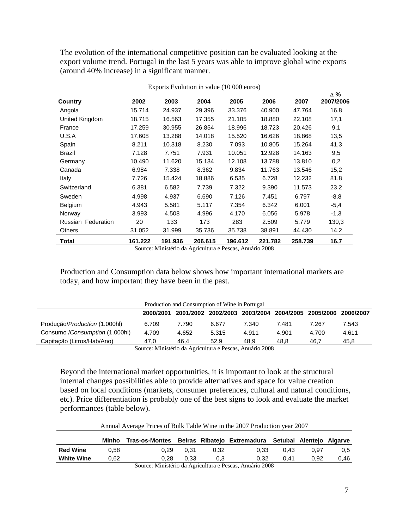The evolution of the international competitive position can be evaluated looking at the export volume trend. Portugal in the last 5 years was able to improve global wine exports (around 40% increase) in a significant manner.

| Exports Evolution in value (10 000 euros) |         |         |         |         |         |         |                         |
|-------------------------------------------|---------|---------|---------|---------|---------|---------|-------------------------|
| Country                                   | 2002    | 2003    | 2004    | 2005    | 2006    | 2007    | $\Delta$ %<br>2007/2006 |
| Angola                                    | 15.714  | 24.937  | 29.396  | 33.376  | 40.900  | 47.764  | 16,8                    |
| United Kingdom                            | 18.715  | 16.563  | 17.355  | 21.105  | 18.880  | 22.108  | 17,1                    |
| France                                    | 17.259  | 30.955  | 26.854  | 18.996  | 18.723  | 20.426  | 9,1                     |
| U.S.A                                     | 17.608  | 13.288  | 14.018  | 15.520  | 16.626  | 18.868  | 13,5                    |
| Spain                                     | 8.211   | 10.318  | 8.230   | 7.093   | 10.805  | 15.264  | 41,3                    |
| <b>Brazil</b>                             | 7.128   | 7.751   | 7.931   | 10.051  | 12.928  | 14.163  | 9,5                     |
| Germany                                   | 10.490  | 11.620  | 15.134  | 12.108  | 13.788  | 13.810  | 0,2                     |
| Canada                                    | 6.984   | 7.338   | 8.362   | 9.834   | 11.763  | 13.546  | 15,2                    |
| Italy                                     | 7.726   | 15.424  | 18.886  | 6.535   | 6.728   | 12.232  | 81,8                    |
| Switzerland                               | 6.381   | 6.582   | 7.739   | 7.322   | 9.390   | 11.573  | 23,2                    |
| Sweden                                    | 4.998   | 4.937   | 6.690   | 7.126   | 7.451   | 6.797   | $-8.8$                  |
| Belgium                                   | 4.943   | 5.581   | 5.117   | 7.354   | 6.342   | 6.001   | $-5,4$                  |
| Norway                                    | 3.993   | 4.508   | 4.996   | 4.170   | 6.056   | 5.978   | $-1,3$                  |
| <b>Russian Federation</b>                 | 20      | 133     | 173     | 283     | 2.509   | 5.779   | 130,3                   |
| <b>Others</b>                             | 31.052  | 31.999  | 35.736  | 35.738  | 38.891  | 44.430  | 14,2                    |
| Total                                     | 161.222 | 191.936 | 206.615 | 196.612 | 221.782 | 258.739 | 16,7                    |

Source: Ministério da Agricultura e Pescas, Anuário 2008

Production and Consumption data below shows how important international markets are today, and how important they have been in the past.

| Production and Consumption of Wine in Portugal |       |       |       |       |       |                                                   |
|------------------------------------------------|-------|-------|-------|-------|-------|---------------------------------------------------|
| 2000/2001                                      |       |       |       |       |       | 2006/2007                                         |
| 6.709                                          | 7.790 | 6.677 | 7.340 | 7.481 | 7.267 | 7.543                                             |
| 4.709                                          | 4.652 | 5.315 | 4.911 | 4.901 | 4.700 | 4.611                                             |
| 47.0                                           | 46.4  | 52.9  | 48.9  | 48.8  | 46.7  | 45.8                                              |
|                                                |       |       |       |       |       | 2001/2002 2002/2003 2003/2004 2004/2005 2005/2006 |

Source: Ministério da Agricultura e Pescas, Anuário 2008

Beyond the international market opportunities, it is important to look at the structural internal changes possibilities able to provide alternatives and space for value creation based on local conditions (markets, consumer preferences, cultural and natural conditions, etc). Price differentiation is probably one of the best signs to look and evaluate the market performances (table below).

|  | Annual Average Prices of Bulk Table Wine in the 2007 Production year 2007 |  |  |
|--|---------------------------------------------------------------------------|--|--|
|  |                                                                           |  |  |

|                   | Minho | Tras-os-Montes |      |      | Beiras Ribatejo Extremadura Setubal Alentejo Algarve |      |      |               |
|-------------------|-------|----------------|------|------|------------------------------------------------------|------|------|---------------|
| Red Wine          | 0.58  | 0.29           | 0.31 | 0.32 | 0.33                                                 | 0.43 | 0.97 | $0.5^{\circ}$ |
| <b>White Wine</b> | 0.62  | 0.28           | 0.33 | J.3  | 0.32                                                 | 0.41 | 0.92 | 0.46          |
|                   |       | $\sim$         |      |      | $\sim$ $\sim$ $\sim$                                 |      |      |               |

Source: Ministério da Agricultura e Pescas, Anuário 2008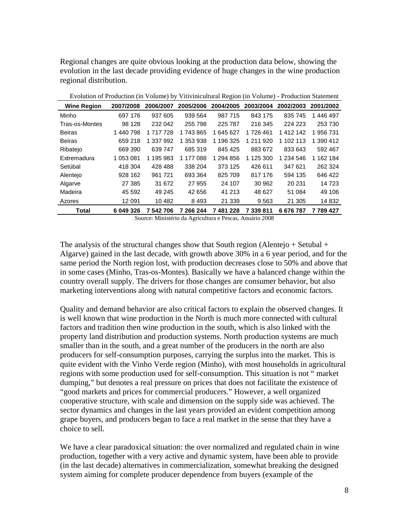Regional changes are quite obvious looking at the production data below, showing the evolution in the last decade providing evidence of huge changes in the wine production regional distribution.

| Evolution of Frounchon (in Volume) by Vitiviniculum Region (in Volume) - Frounchon Blatchiem |           |              |           |              |           |           |              |
|----------------------------------------------------------------------------------------------|-----------|--------------|-----------|--------------|-----------|-----------|--------------|
| <b>Wine Region</b>                                                                           | 2007/2008 | 2006/2007    | 2005/2006 | 2004/2005    | 2003/2004 | 2002/2003 | 2001/2002    |
| Minho                                                                                        | 697 176   | 937 605      | 939 564   | 987 715      | 843 175   | 835 745   | 1 446 497    |
| Tras-os-Montes                                                                               | 98 1 28   | 232 042      | 255 798   | 225 787      | 216 345   | 224 223   | 253 730      |
| <b>Beiras</b>                                                                                | 1440798   | 1 717 728    | 1 743 865 | 1 645 627    | 1726461   | 1 412 142 | 956 731      |
| <b>Beiras</b>                                                                                | 659 218   | 1 337 992    | 1 353 938 | 1 196 325    | 1 211 920 | 1 102 113 | 1 390 412    |
| Ribatejo                                                                                     | 669 390   | 639 747      | 685 319   | 845 425      | 883 672   | 833 643   | 592 467      |
| Extremadura                                                                                  | 1 053 081 | 1 195 983    | 1 177 088 | 1 294 856    | 1 125 300 | 1 234 546 | 162 184<br>1 |
| Setúbal                                                                                      | 418 304   | 428 488      | 338 204   | 373 125      | 426 611   | 347 621   | 262 324      |
| Alentejo                                                                                     | 928 162   | 961 721      | 693 364   | 825 709      | 817 176   | 594 135   | 646 422      |
| Algarve                                                                                      | 27 385    | 31 672       | 27 955    | 24 107       | 30 962    | 20 231    | 14 723       |
| Madeira                                                                                      | 45 592    | 49 245       | 42 656    | 41 213       | 48 627    | 51 084    | 49 106       |
| Azores                                                                                       | 12 091    | 10 482       | 8493      | 21 339       | 9563      | 21 305    | 14 832       |
| <b>Total</b>                                                                                 | 6 049 326 | 542 706<br>7 | 7 266 244 | 481 228<br>7 | 7 339 811 | 6676787   | 7 789 427    |
|                                                                                              |           |              |           |              |           |           |              |

Evolution of Production (in Volume) by Vitivinicultural Region (in Volume) - Production Statement

Source: Ministério da Agricultura e Pescas, Anuário 2008

The analysis of the structural changes show that South region (Alentejo + Setubal  $+$ Algarve) gained in the last decade, with growth above 30% in a 6 year period, and for the same period the North region lost, with production decreases close to 50% and above that in some cases (Minho, Tras-os-Montes). Basically we have a balanced change within the country overall supply. The drivers for those changes are consumer behavior, but also marketing interventions along with natural competitive factors and economic factors.

Quality and demand behavior are also critical factors to explain the observed changes. It is well known that wine production in the North is much more connected with cultural factors and tradition then wine production in the south, which is also linked with the property land distribution and production systems. North production systems are much smaller than in the south, and a great number of the producers in the north are also producers for self-consumption purposes, carrying the surplus into the market. This is quite evident with the Vinho Verde region (Minho), with most households in agricultural regions with some production used for self-consumption. This situation is not " market dumping," but denotes a real pressure on prices that does not facilitate the existence of "good markets and prices for commercial producers." However, a well organized cooperative structure, with scale and dimension on the supply side was achieved. The sector dynamics and changes in the last years provided an evident competition among grape buyers, and producers began to face a real market in the sense that they have a choice to sell.

We have a clear paradoxical situation: the over normalized and regulated chain in wine production, together with a very active and dynamic system, have been able to provide (in the last decade) alternatives in commercialization, somewhat breaking the designed system aiming for complete producer dependence from buyers (example of the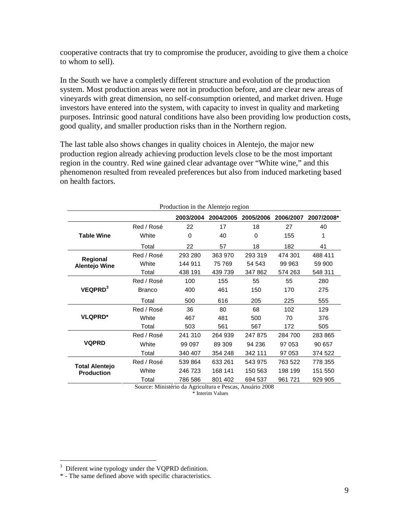cooperative contracts that try to compromise the producer, avoiding to give them a choice to whom to sell).

In the South we have a completly different structure and evolution of the production system. Most production areas were not in production before, and are clear new areas of vineyards with great dimension, no self-consumption oriented, and market driven. Huge investors have entered into the system, with capacity to invest in quality and marketing purposes. Intrinsic good natural conditions have also been providing low production costs, good quality, and smaller production risks than in the Northern region.

The last table also shows changes in quality choices in Alentejo, the major new production region already achieving production levels close to be the most important region in the country. Red wine gained clear advantage over "White wine," and this phenomenon resulted from revealed preferences but also from induced marketing based on health factors.

| Production in the Alentejo region |               |           |           |           |           |            |  |  |
|-----------------------------------|---------------|-----------|-----------|-----------|-----------|------------|--|--|
|                                   |               | 2003/2004 | 2004/2005 | 2005/2006 | 2006/2007 | 2007/2008* |  |  |
|                                   | Red / Rosé    | 22        | 17        | 18        | 27        | 40         |  |  |
| <b>Table Wine</b>                 | White         | $\Omega$  | 40        | $\Omega$  | 155       | 1          |  |  |
|                                   | Total         | 22        | 57        | 18        | 182       | 41         |  |  |
| Regional                          | Red / Rosé    | 293 280   | 363 970   | 293 319   | 474 301   | 488 411    |  |  |
| <b>Alentejo Wine</b>              | White         | 144 911   | 75 769    | 54 543    | 99 963    | 59 900     |  |  |
|                                   | Total         | 438 191   | 439 739   | 347 862   | 574 263   | 548 311    |  |  |
|                                   | Red / Rosé    | 100       | 155       | 55        | 55        | 280        |  |  |
| VEQPRD <sup>3</sup>               | <b>Branco</b> | 400       | 461       | 150       | 170       | 275        |  |  |
|                                   | Total         | 500       | 616       | 205       | 225       | 555        |  |  |
|                                   | Red / Rosé    | 36        | 80        | 68        | 102       | 129        |  |  |
| <b>VLQPRD*</b>                    | White         | 467       | 481       | 500       | 70        | 376        |  |  |
|                                   | Total         | 503       | 561       | 567       | 172       | 505        |  |  |
|                                   | Red / Rosé    | 241 310   | 264 939   | 247 875   | 284 700   | 283 865    |  |  |
| <b>VQPRD</b>                      | White         | 99 097    | 89 309    | 94 236    | 97 053    | 90 657     |  |  |
|                                   | Total         | 340 407   | 354 248   | 342 111   | 97 053    | 374 522    |  |  |
| <b>Total Alentejo</b>             | Red / Rosé    | 539 864   | 633 261   | 543 975   | 763 522   | 778 355    |  |  |
| <b>Production</b>                 | White         | 246 723   | 168 141   | 150 563   | 198 199   | 151 550    |  |  |
|                                   | Total         | 786 586   | 801 402   | 694 537   | 961 721   | 929 905    |  |  |

Source: Ministério da Agricultura e Pescas, Anuário 2008 \* Interim Values

<sup>&</sup>lt;sup>3</sup> Diferent wine typology under the VQPRD definition.

<sup>\* -</sup> The same defined above with specific characteristics.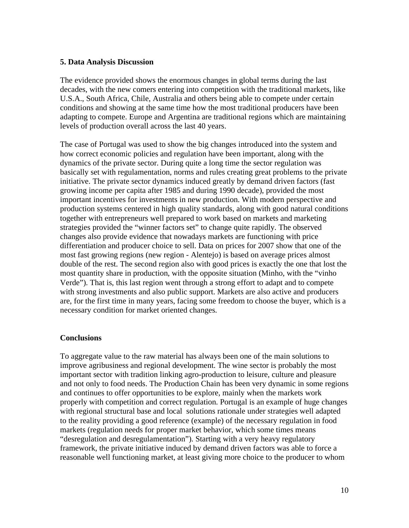### **5. Data Analysis Discussion**

The evidence provided shows the enormous changes in global terms during the last decades, with the new comers entering into competition with the traditional markets, like U.S.A., South Africa, Chile, Australia and others being able to compete under certain conditions and showing at the same time how the most traditional producers have been adapting to compete. Europe and Argentina are traditional regions which are maintaining levels of production overall across the last 40 years.

The case of Portugal was used to show the big changes introduced into the system and how correct economic policies and regulation have been important, along with the dynamics of the private sector. During quite a long time the sector regulation was basically set with regulamentation, norms and rules creating great problems to the private initiative. The private sector dynamics induced greatly by demand driven factors (fast growing income per capita after 1985 and during 1990 decade), provided the most important incentives for investments in new production. With modern perspective and production systems centered in high quality standards, along with good natural conditions together with entrepreneurs well prepared to work based on markets and marketing strategies provided the "winner factors set" to change quite rapidly. The observed changes also provide evidence that nowadays markets are functioning with price differentiation and producer choice to sell. Data on prices for 2007 show that one of the most fast growing regions (new region - Alentejo) is based on average prices almost double of the rest. The second region also with good prices is exactly the one that lost the most quantity share in production, with the opposite situation (Minho, with the "vinho Verde"). That is, this last region went through a strong effort to adapt and to compete with strong investments and also public support. Markets are also active and producers are, for the first time in many years, facing some freedom to choose the buyer, which is a necessary condition for market oriented changes.

### **Conclusions**

To aggregate value to the raw material has always been one of the main solutions to improve agribusiness and regional development. The wine sector is probably the most important sector with tradition linking agro-production to leisure, culture and pleasure and not only to food needs. The Production Chain has been very dynamic in some regions and continues to offer opportunities to be explore, mainly when the markets work properly with competition and correct regulation. Portugal is an example of huge changes with regional structural base and local solutions rationale under strategies well adapted to the reality providing a good reference (example) of the necessary regulation in food markets (regulation needs for proper market behavior, which some times means "desregulation and desregulamentation"). Starting with a very heavy regulatory framework, the private initiative induced by demand driven factors was able to force a reasonable well functioning market, at least giving more choice to the producer to whom